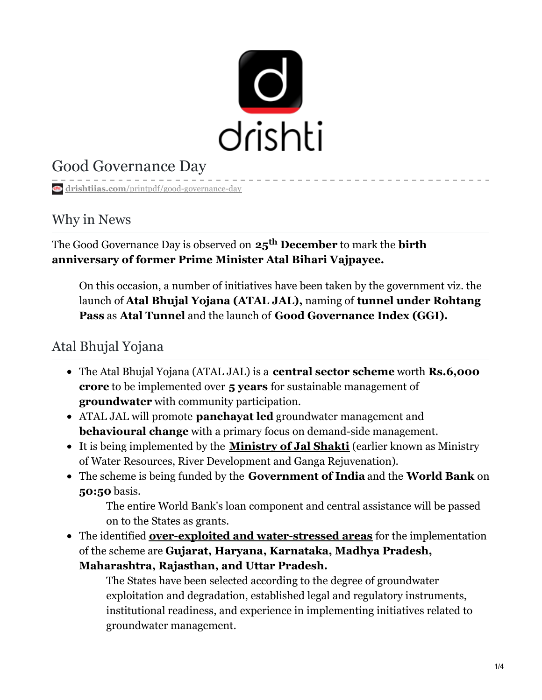

## Good Governance Day

**drishtiias.com**[/printpdf/good-governance-day](https://www.drishtiias.com/printpdf/good-governance-day)

#### Why in News

The Good Governance Day is observed on  $\mathbf{25}^\mathbf{th}$  **December** to mark the <code>birth</code> **anniversary of former Prime Minister Atal Bihari Vajpayee.**

On this occasion, a number of initiatives have been taken by the government viz. the launch of **Atal Bhujal Yojana (ATAL JAL),** naming of **tunnel under Rohtang Pass** as **Atal Tunnel** and the launch of **Good Governance Index (GGI).**

### Atal Bhujal Yojana

- The Atal Bhujal Yojana (ATAL JAL) is a **central sector scheme** worth **Rs.6,000 crore** to be implemented over **5 years** for sustainable management of **groundwater** with community participation.
- ATAL JAL will promote **panchayat led** groundwater management and **behavioural change** with a primary focus on demand-side management.
- It is being implemented by the **[Ministry](https://www.drishtiias.com/daily-updates/daily-news-analysis/jal-shakti-mantralaya) of Jal Shakti** (earlier known as Ministry of Water Resources, River Development and Ganga Rejuvenation).
- The scheme is being funded by the **Government of India** and the **World Bank** on **50:50** basis.

The entire World Bank's loan component and central assistance will be passed on to the States as grants.

The identified **over-exploited and [water-stressed](https://www.drishtiias.com/daily-updates/daily-news-analysis/depleting-groundwater) areas** for the implementation of the scheme are **Gujarat, Haryana, Karnataka, Madhya Pradesh, Maharashtra, Rajasthan, and Uttar Pradesh.**

The States have been selected according to the degree of groundwater exploitation and degradation, established legal and regulatory instruments, institutional readiness, and experience in implementing initiatives related to groundwater management.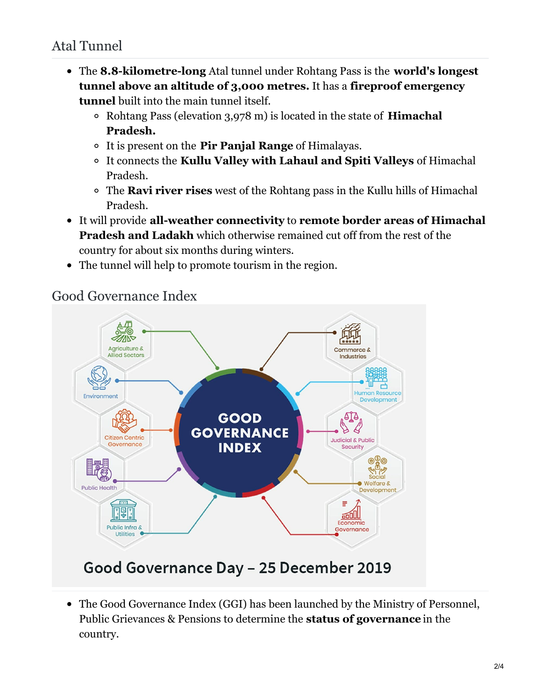- The **8.8-kilometre-long** Atal tunnel under Rohtang Pass is the **world's longest tunnel above an altitude of 3,000 metres.** It has a **fireproof emergency tunnel** built into the main tunnel itself.
	- Rohtang Pass (elevation 3,978 m) is located in the state of **Himachal Pradesh.**
	- It is present on the **Pir Panjal Range** of Himalayas.
	- It connects the **Kullu Valley with Lahaul and Spiti Valleys** of Himachal Pradesh.
	- The **Ravi river rises** west of the Rohtang pass in the Kullu hills of Himachal Pradesh.
- It will provide **all-weather connectivity** to **remote border areas of Himachal Pradesh and Ladakh** which otherwise remained cut off from the rest of the country for about six months during winters.
- The tunnel will help to promote tourism in the region.



### Good Governance Index

# Good Governance Day - 25 December 2019

The Good Governance Index (GGI) has been launched by the Ministry of Personnel, Public Grievances & Pensions to determine the **status of governance** in the country.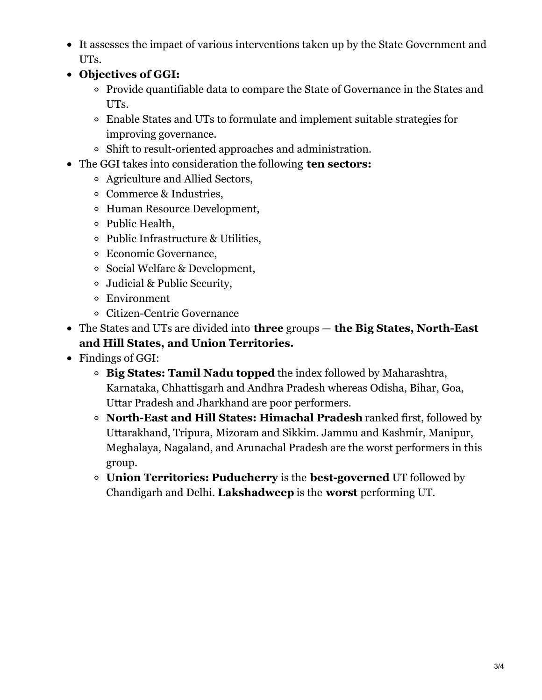- It assesses the impact of various interventions taken up by the State Government and UTs.
- **Objectives of GGI:**
	- Provide quantifiable data to compare the State of Governance in the States and UTs.
	- Enable States and UTs to formulate and implement suitable strategies for improving governance.
	- Shift to result-oriented approaches and administration.
- The GGI takes into consideration the following **ten sectors:**
	- Agriculture and Allied Sectors,
	- Commerce & Industries,
	- Human Resource Development,
	- Public Health,
	- Public Infrastructure & Utilities,
	- Economic Governance,
	- Social Welfare & Development,
	- Judicial & Public Security,
	- Environment
	- Citizen-Centric Governance
- The States and UTs are divided into **three** groups **the Big States, North-East and Hill States, and Union Territories.**
- Findings of GGI:
	- **Big States: Tamil Nadu topped** the index followed by Maharashtra, Karnataka, Chhattisgarh and Andhra Pradesh whereas Odisha, Bihar, Goa, Uttar Pradesh and Jharkhand are poor performers.
	- **North-East and Hill States: Himachal Pradesh** ranked first, followed by Uttarakhand, Tripura, Mizoram and Sikkim. Jammu and Kashmir, Manipur, Meghalaya, Nagaland, and Arunachal Pradesh are the worst performers in this group.
	- **Union Territories: Puducherry** is the **best-governed** UT followed by Chandigarh and Delhi. **Lakshadweep** is the **worst** performing UT.